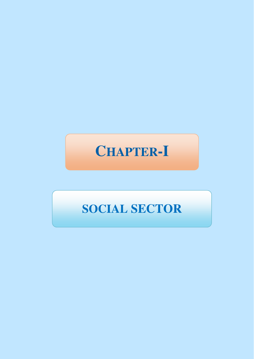# **CHAPTER-I**

# **SOCIAL SECTOR**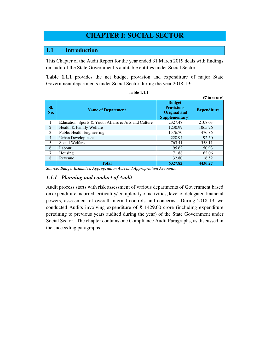# **CHAPTER I: SOCIAL SECTOR**

### **1.1 Introduction**

This Chapter of the Audit Report for the year ended 31 March 2019 deals with findings on audit of the State Government's auditable entities under Social Sector.

**Table 1.1.1** provides the net budget provision and expenditure of major State Government departments under Social Sector during the year 2018-19:

|            |                                                      |                                                                       | $(5 \text{ in } \text{core})$ |
|------------|------------------------------------------------------|-----------------------------------------------------------------------|-------------------------------|
| SI.<br>No. | <b>Name of Department</b>                            | <b>Budget</b><br><b>Provisions</b><br>(Original and<br>Supplementary) | <b>Expenditure</b>            |
| 1.         | Education, Sports & Youth Affairs & Arts and Culture | 2327.48                                                               | 2108.03                       |
| 2.         | Health & Family Welfare                              | 1230.99                                                               | 1065.26                       |
| 3.         | <b>Public Health Engineering</b>                     | 1576.70                                                               | 476.86                        |
| 4.         | <b>Urban Development</b>                             | 228.94                                                                | 92.50                         |
| 5.         | Social Welfare                                       | 763.41                                                                | 558.11                        |
| 6.         | Labour                                               | 95.62                                                                 | 50.93                         |
| 7.         | Housing                                              | 71.88                                                                 | 62.06                         |
| 8.         | Revenue                                              | 32.80                                                                 | 16.52                         |
|            | <b>Total</b>                                         | 6327.82                                                               | 4430.27                       |

| <b>Table 1.1.1</b> |  |
|--------------------|--|
|--------------------|--|

*Source: Budget Estimates, Appropriation Acts and Appropriation Accounts.* 

#### *1.1.1 Planning and conduct of Audit*

Audit process starts with risk assessment of various departments of Government based on expenditure incurred, criticality/ complexity of activities, level of delegated financial powers, assessment of overall internal controls and concerns. During 2018-19, we conducted Audits involving expenditure of ₹ 1429.00 crore (including expenditure pertaining to previous years audited during the year) of the State Government under Social Sector. The chapter contains one Compliance Audit Paragraphs, as discussed in the succeeding paragraphs.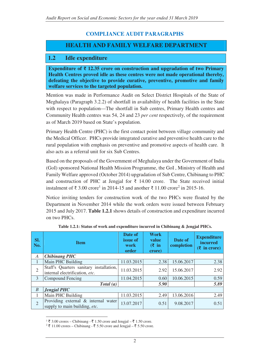# **COMPLIANCE AUDIT PARAGRAPHS**

# **HEALTH AND FAMILY WELFARE DEPARTMENT**

## **1.2 Idle expenditure**

**Expenditure of ₹ 12.35 crore on construction and upgradation of two Primary Health Centres proved idle as these centres were not made operational thereby, defeating the objective to provide curative, preventive, promotive and family welfare services to the targeted population.** 

Mention was made in Performance Audit on Select District Hospitals of the State of Meghalaya (Paragraph 3.2.2) of shortfall in availability of health facilities in the State with respect to population—The shortfall in Sub centres, Primary Health centres and Community Health centres was 54, 24 and 23 *per cent* respectively, of the requirement as of March 2019 based on State's population.

Primary Health Centre (PHC) is the first contact point between village community and the Medical Officer. PHCs provide integrated curative and preventive health care to the rural population with emphasis on preventive and promotive aspects of health care. It also acts as a referral unit for six Sub Centres.

Based on the proposals of the Government of Meghalaya under the Government of India (GoI) sponsored National Health Mission Programme, the GoI , Ministry of Health and Family Welfare approved (October 2014) upgradation of Sub Centre, Chibinang to PHC and construction of PHC at Jengjal for  $\bar{\tau}$  14.00 crore. The State received initial instalment of ₹ 3.00 crore<sup>1</sup> in 2014-15 and another ₹ 11.00 crore<sup>2</sup> in 2015-16.

Notice inviting tenders for construction work of the two PHCs were floated by the Department in November 2014 while the work orders were issued between February 2015 and July 2017. **Table 1.2.1** shows details of construction and expenditure incurred on two PHCs.

| SI.<br>  No.     | <b>Item</b>                                                               | Date of<br>issue of<br>work<br>order | <b>Work</b><br>value<br>$(\bar{\zeta}$ in<br>crore) | Date of<br>completion | <b>Expenditure</b><br>incurred<br>$(5$ in crore) |
|------------------|---------------------------------------------------------------------------|--------------------------------------|-----------------------------------------------------|-----------------------|--------------------------------------------------|
| A                | <b>Chibinang PHC</b>                                                      |                                      |                                                     |                       |                                                  |
|                  | Main PHC Building                                                         | 11.03.2015                           | 2.38                                                | 15.06.2017            | 2.38                                             |
| $\overline{2}$   | Staff's Quarters sanitary installation,<br>internal electrification, etc. | 11.03.2015                           | 2.92                                                | 15.06.2017            | 2.92                                             |
| 3                | Compound Fencing                                                          | 11.04.2015                           | 0.60                                                | 10.06.2015            | 0.59                                             |
| Total(a)<br>5.90 |                                                                           |                                      |                                                     | 5.89                  |                                                  |
| $\boldsymbol{B}$ | <b>Jengjal PHC</b>                                                        |                                      |                                                     |                       |                                                  |
|                  | Main PHC Building                                                         | 11.03.2015                           | 2.49                                                | 13.06.2016            | 2.49                                             |
| $\overline{2}$   | Providing external & internal water<br>supply to main building, etc.      | 13.07.2017                           | 0.51                                                | 9.08.2017             | 0.51                                             |

**Table 1.2.1: Status of work and expenditure incurred in Chibinang & Jengjal PHCs.** 

 $\overline{a}$ <sup>1</sup> ₹ 3.00 crores – Chibinang - ₹ 1.50 crore and Jengjal – ₹ 1.50 crore.

 $2 \xi$  11.00 crores – Chibinang - ₹ 5.50 crore and Jengjal – ₹ 5.50 crore.